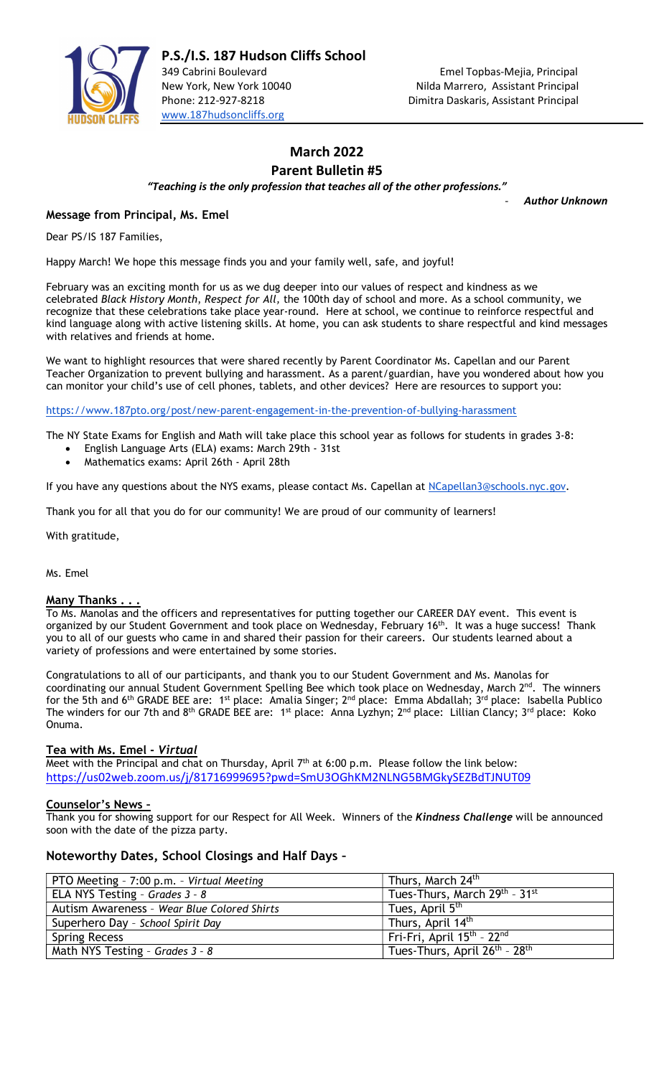

# March 2022

Parent Bulletin #5

"Teaching is the only profession that teaches all of the other professions."

**Author Unknown** 

# Message from Principal, Ms. Emel

Dear PS/IS 187 Families,

Happy March! We hope this message finds you and your family well, safe, and joyful!

February was an exciting month for us as we dug deeper into our values of respect and kindness as we celebrated Black History Month, Respect for All, the 100th day of school and more. As a school community, we recognize that these celebrations take place year-round. Here at school, we continue to reinforce respectful and kind language along with active listening skills. At home, you can ask students to share respectful and kind messages with relatives and friends at home.

We want to highlight resources that were shared recently by Parent Coordinator Ms. Capellan and our Parent Teacher Organization to prevent bullying and harassment. As a parent/guardian, have you wondered about how you can monitor your child's use of cell phones, tablets, and other devices? Here are resources to support you:

https://www.187pto.org/post/new-parent-engagement-in-the-prevention-of-bullying-harassment

The NY State Exams for English and Math will take place this school year as follows for students in grades 3-8:

- English Language Arts (ELA) exams: March 29th 31st
- Mathematics exams: April 26th April 28th

If you have any questions about the NYS exams, please contact Ms. Capellan at NCapellan3@schools.nyc.gov.

Thank you for all that you do for our community! We are proud of our community of learners!

With gratitude,

Ms. Emel

#### Many Thanks.

To Ms. Manolas and the officers and representatives for putting together our CAREER DAY event. This event is organized by our Student Government and took place on Wednesday, February 16<sup>th</sup>. It was a huge success! Thank you to all of our guests who came in and shared their passion for their careers. Our students learned about a variety of professions and were entertained by some stories.

Congratulations to all of our participants, and thank you to our Student Government and Ms. Manolas for coordinating our annual Student Government Spelling Bee which took place on Wednesday, March 2<sup>nd</sup>. The winners for the 5th and 6<sup>th</sup> GRADE BEE are: 1<sup>st</sup> place: Amalia Singer; 2<sup>nd</sup> place: Emma Abdallah;  $3^{rd}$  place: Isabella Publico The winders for our 7th and 8<sup>th</sup> GRADE BEE are: 1<sup>st</sup> place: Anna Lyzhyn; 2<sup>nd</sup> place: Lillian Clancy; 3<sup>rd</sup> place: Koko Onuma.

#### Tea with Ms. Emel - Virtual

Meet with the Principal and chat on Thursday, April  $7<sup>th</sup>$  at 6:00 p.m. Please follow the link below: https://us02web.zoom.us/j/81716999695?pwd=SmU3OGhKM2NLNG5BMGkySEZBdTJNUT09

## Counselor's News –

Thank you for showing support for our Respect for All Week. Winners of the Kindness Challenge will be announced soon with the date of the pizza party.

## Noteworthy Dates, School Closings and Half Days –

| PTO Meeting - 7:00 p.m. - Virtual Meeting   | Thurs, March 24 <sup>th</sup>                         |
|---------------------------------------------|-------------------------------------------------------|
| ELA NYS Testing - Grades 3 - 8              | Tues-Thurs, March 29th - 31st                         |
| Autism Awareness - Wear Blue Colored Shirts | Tues, April 5 <sup>th</sup>                           |
| Superhero Day - School Spirit Day           | Thurs, April 14 <sup>th</sup>                         |
| <b>Spring Recess</b>                        | Fri-Fri, April 15 <sup>th</sup> - 22 <sup>nd</sup>    |
| Math NYS Testing - Grades 3 - 8             | Tues-Thurs, April 26 <sup>th</sup> - 28 <sup>th</sup> |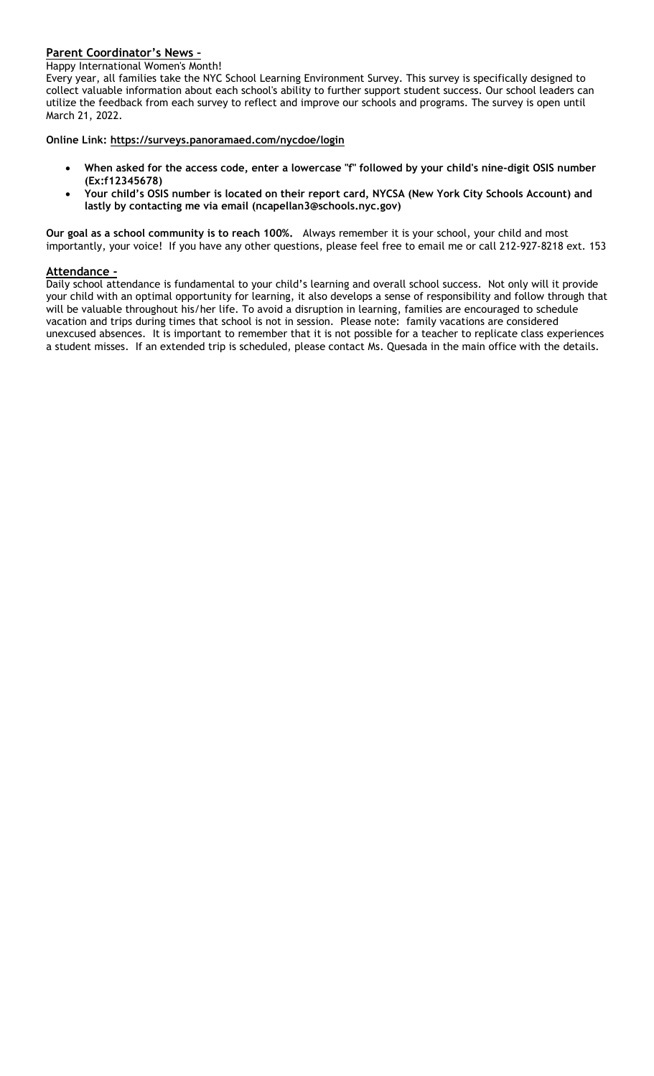# Parent Coordinator's News –

Happy International Women's Month!

Every year, all families take the NYC School Learning Environment Survey. This survey is specifically designed to collect valuable information about each school's ability to further support student success. Our school leaders can utilize the feedback from each survey to reflect and improve our schools and programs. The survey is open until March 21, 2022.

Online Link: https://surveys.panoramaed.com/nycdoe/login

- When asked for the access code, enter a lowercase "f" followed by your child's nine-digit OSIS number (Ex:f12345678)
- Your child's OSIS number is located on their report card, NYCSA (New York City Schools Account) and lastly by contacting me via email (ncapellan3@schools.nyc.gov)

Our goal as a school community is to reach 100%. Always remember it is your school, your child and most importantly, your voice! If you have any other questions, please feel free to email me or call 212-927-8218 ext. 153

#### Attendance -

Daily school attendance is fundamental to your child's learning and overall school success. Not only will it provide your child with an optimal opportunity for learning, it also develops a sense of responsibility and follow through that will be valuable throughout his/her life. To avoid a disruption in learning, families are encouraged to schedule vacation and trips during times that school is not in session. Please note: family vacations are considered unexcused absences. It is important to remember that it is not possible for a teacher to replicate class experiences a student misses. If an extended trip is scheduled, please contact Ms. Quesada in the main office with the details.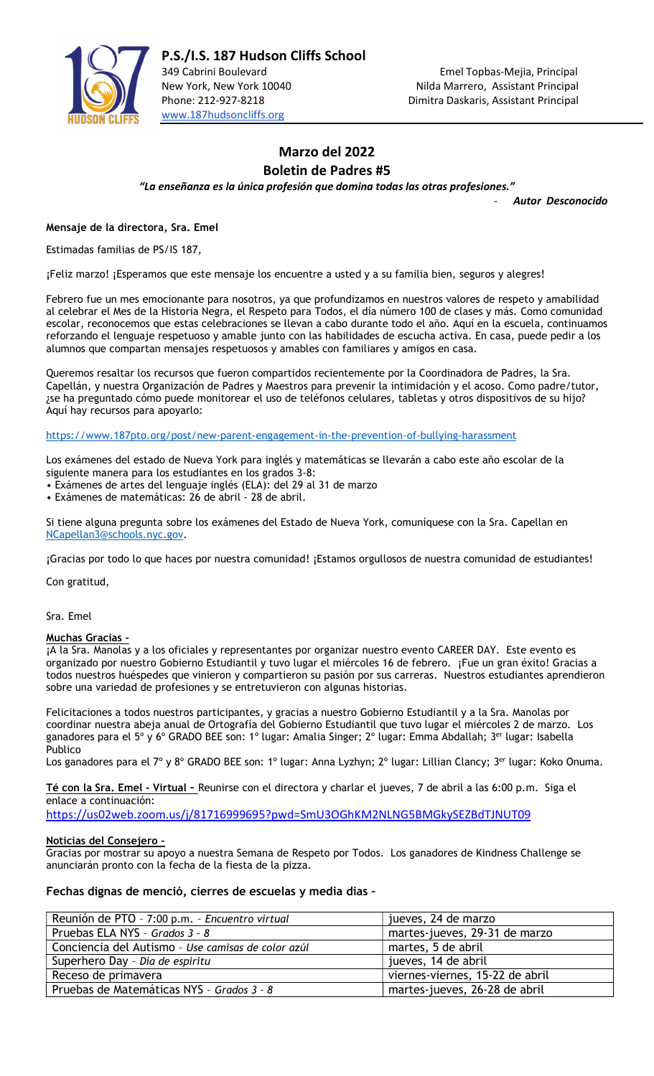

# Marzo del 2022 Boletin de Padres #5

"La enseñanza es la única profesión que domina todas las otras profesiones."

Autor Desconocido

Mensaje de la directora, Sra. Emel

Estimadas familias de PS/IS 187,

¡Feliz marzo! ¡Esperamos que este mensaje los encuentre a usted y a su familia bien, seguros y alegres!

Febrero fue un mes emocionante para nosotros, ya que profundizamos en nuestros valores de respeto y amabilidad al celebrar el Mes de la Historia Negra, el Respeto para Todos, el día número 100 de clases y más. Como comunidad escolar, reconocemos que estas celebraciones se llevan a cabo durante todo el año. Aquí en la escuela, continuamos reforzando el lenguaje respetuoso y amable junto con las habilidades de escucha activa. En casa, puede pedir a los alumnos que compartan mensajes respetuosos y amables con familiares y amigos en casa.

Queremos resaltar los recursos que fueron compartidos recientemente por la Coordinadora de Padres, la Sra. Capellán, y nuestra Organización de Padres y Maestros para prevenir la intimidación y el acoso. Como padre/tutor, ¿se ha preguntado cómo puede monitorear el uso de teléfonos celulares, tabletas y otros dispositivos de su hijo? Aquí hay recursos para apoyarlo:

https://www.187pto.org/post/new-parent-engagement-in-the-prevention-of-bullying-harassment

Los exámenes del estado de Nueva York para inglés y matemáticas se llevarán a cabo este año escolar de la siguiente manera para los estudiantes en los grados 3-8:

• Exámenes de artes del lenguaje inglés (ELA): del 29 al 31 de marzo

• Exámenes de matemáticas: 26 de abril - 28 de abril.

Si tiene alguna pregunta sobre los exámenes del Estado de Nueva York, comuníquese con la Sra. Capellan en NCapellan3@schools.nyc.gov.

¡Gracias por todo lo que haces por nuestra comunidad! ¡Estamos orgullosos de nuestra comunidad de estudiantes!

Con gratitud,

Sra. Emel

#### Muchas Gracias –

¡A la Sra. Manolas y a los oficiales y representantes por organizar nuestro evento CAREER DAY. Este evento es organizado por nuestro Gobierno Estudiantil y tuvo lugar el miércoles 16 de febrero. ¡Fue un gran éxito! Gracias a todos nuestros huéspedes que vinieron y compartieron su pasión por sus carreras. Nuestros estudiantes aprendieron sobre una variedad de profesiones y se entretuvieron con algunas historias.

Felicitaciones a todos nuestros participantes, y gracias a nuestro Gobierno Estudiantil y a la Sra. Manolas por coordinar nuestra abeja anual de Ortografía del Gobierno Estudiantil que tuvo lugar el miércoles 2 de marzo. Los ganadores para el 5° y 6° GRADO BEE son: 1° lugar: Amalia Singer; 2° lugar: Emma Abdallah; 3<sup>er</sup> lugar: Isabella Publico

Los ganadores para el 7º y 8º GRADO BEE son: 1º lugar: Anna Lyzhyn; 2º lugar: Lillian Clancy; 3<sup>er</sup> lugar: Koko Onuma.

Té con la Sra. Emel - Virtual - Reunirse con el directora y charlar el jueves, 7 de abril a las 6:00 p.m. Siga el enlace a continuación:

https://us02web.zoom.us/j/81716999695?pwd=SmU3OGhKM2NLNG5BMGkySEZBdTJNUT09

#### Noticias del Consejero –

Gracias por mostrar su apoyo a nuestra Semana de Respeto por Todos. Los ganadores de Kindness Challenge se anunciarán pronto con la fecha de la fiesta de la pizza.

#### Fechas dignas de menció, cierres de escuelas y media dias –

| Reunión de PTO - 7:00 p.m. - Encuentro virtual     | jueves, 24 de marzo             |
|----------------------------------------------------|---------------------------------|
| Pruebas ELA NYS - Grados 3 - 8                     | martes-jueves, 29-31 de marzo   |
| Conciencia del Autismo - Use camisas de color azúl | martes, 5 de abril              |
| Superhero Day - Dia de espiritu                    | jueves, 14 de abril             |
| Receso de primavera                                | viernes-viernes, 15-22 de abril |
| Pruebas de Matemáticas NYS - Grados 3 - 8          | martes-jueves, 26-28 de abril   |